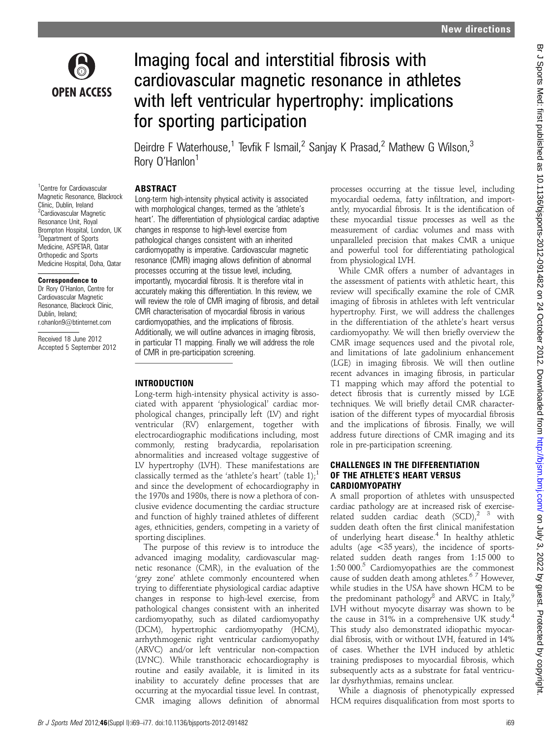

# Imaging focal and interstitial fibrosis with cardiovascular magnetic resonance in athletes with left ventricular hypertrophy: implications for sporting participation

Deirdre F Waterhouse,<sup>1</sup> Tevfik F Ismail,<sup>2</sup> Sanjay K Prasad,<sup>2</sup> Mathew G Wilson,<sup>3</sup> Rory O'Hanlon<sup>1</sup>

## ABSTRACT

<sup>1</sup> Centre for Cardiovascular Magnetic Resonance, Blackrock Clinic, Dublin, Ireland <sup>2</sup> Cardiovascular Magnetic Resonance Unit, Royal Brompton Hospital, London, UK <sup>3</sup>Department of Sports Medicine, ASPETAR, Qatar Orthopedic and Sports Medicine Hospital, Doha, Qatar

#### Correspondence to

Dr Rory O'Hanlon, Centre for Cardiovascular Magnetic Resonance, Blackrock Clinic, Dublin, Ireland; r.ohanlon9@btinternet.com

Received 18 June 2012 Accepted 5 September 2012 Long-term high-intensity physical activity is associated with morphological changes, termed as the 'athlete's heart'. The differentiation of physiological cardiac adaptive changes in response to high-level exercise from pathological changes consistent with an inherited cardiomyopathy is imperative. Cardiovascular magnetic resonance (CMR) imaging allows definition of abnormal processes occurring at the tissue level, including, importantly, myocardial fibrosis. It is therefore vital in accurately making this differentiation. In this review, we will review the role of CMR imaging of fibrosis, and detail CMR characterisation of myocardial fibrosis in various cardiomyopathies, and the implications of fibrosis. Additionally, we will outline advances in imaging fibrosis, in particular T1 mapping. Finally we will address the role of CMR in pre-participation screening.

## INTRODUCTION

Long-term high-intensity physical activity is associated with apparent 'physiological' cardiac morphological changes, principally left (LV) and right ventricular (RV) enlargement, together with electrocardiographic modifications including, most commonly, resting bradycardia, repolarisation abnormalities and increased voltage suggestive of LV hypertrophy (LVH). These manifestations are classically termed as the 'athlete's heart' (table 1);<sup>1</sup> and since the development of echocardiography in the 1970s and 1980s, there is now a plethora of conclusive evidence documenting the cardiac structure and function of highly trained athletes of different ages, ethnicities, genders, competing in a variety of sporting disciplines.

The purpose of this review is to introduce the advanced imaging modality, cardiovascular magnetic resonance (CMR), in the evaluation of the 'grey zone' athlete commonly encountered when trying to differentiate physiological cardiac adaptive changes in response to high-level exercise, from pathological changes consistent with an inherited cardiomyopathy, such as dilated cardiomyopathy (DCM), hypertrophic cardiomyopathy (HCM), arrhythmogenic right ventricular cardiomyopathy (ARVC) and/or left ventricular non-compaction (LVNC). While transthoracic echocardiography is routine and easily available, it is limited in its inability to accurately define processes that are occurring at the myocardial tissue level. In contrast, CMR imaging allows definition of abnormal

processes occurring at the tissue level, including myocardial oedema, fatty infiltration, and importantly, myocardial fibrosis. It is the identification of these myocardial tissue processes as well as the measurement of cardiac volumes and mass with unparalleled precision that makes CMR a unique and powerful tool for differentiating pathological from physiological LVH.

While CMR offers a number of advantages in the assessment of patients with athletic heart, this review will specifically examine the role of CMR imaging of fibrosis in athletes with left ventricular hypertrophy. First, we will address the challenges in the differentiation of the athlete's heart versus cardiomyopathy. We will then briefly overview the CMR image sequences used and the pivotal role, and limitations of late gadolinium enhancement (LGE) in imaging fibrosis. We will then outline recent advances in imaging fibrosis, in particular T1 mapping which may afford the potential to detect fibrosis that is currently missed by LGE techniques. We will briefly detail CMR characterisation of the different types of myocardial fibrosis and the implications of fibrosis. Finally, we will address future directions of CMR imaging and its role in pre-participation screening.

## CHALLENGES IN THE DIFFERENTIATION OF THE ATHLETE'S HEART VERSUS CARDIOMYOPATHY

A small proportion of athletes with unsuspected cardiac pathology are at increased risk of exerciserelated sudden cardiac death  $(SCD),^2$  <sup>3</sup> with sudden death often the first clinical manifestation of underlying heart disease.<sup>4</sup> In healthy athletic adults (age <35 years), the incidence of sportsrelated sudden death ranges from 1:15 000 to 1:50 000. $5$  Cardiomyopathies are the commonest cause of sudden death among athletes. $67$  However, while studies in the USA have shown HCM to be the predominant pathology<sup>8</sup> and ARVC in Italy,<sup>9</sup> LVH without myocyte disarray was shown to be the cause in 31% in a comprehensive UK study.<sup>4</sup> This study also demonstrated idiopathic myocardial fibrosis, with or without LVH, featured in 14% of cases. Whether the LVH induced by athletic training predisposes to myocardial fibrosis, which subsequently acts as a substrate for fatal ventricular dysrhythmias, remains unclear.

While a diagnosis of phenotypically expressed HCM requires disqualification from most sports to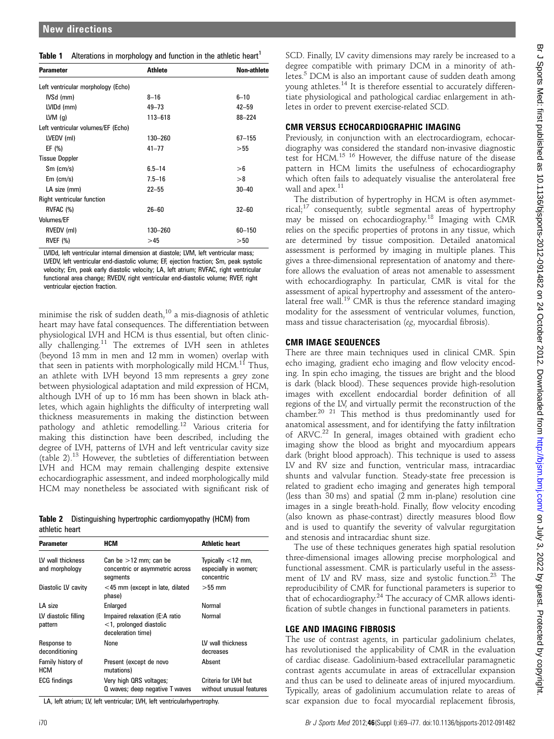|  |  | <b>Table 1</b> Alterations in morphology and function in the athletic heart <sup>1</sup> |  |  |  |  |
|--|--|------------------------------------------------------------------------------------------|--|--|--|--|
|--|--|------------------------------------------------------------------------------------------|--|--|--|--|

| <b>Parameter</b>                   | <b>Athlete</b> | Non-athlete |  |
|------------------------------------|----------------|-------------|--|
| Left ventricular morphology (Echo) |                |             |  |
| IVSd (mm)                          | $8 - 16$       | $6 - 10$    |  |
| LVIDd (mm)                         | $49 - 73$      | $42 - 59$   |  |
| LVM $(q)$                          | 113-618        | 88-224      |  |
| Left ventricular volumes/EF (Echo) |                |             |  |
| LVEDV (ml)                         | 130-260        | $67 - 155$  |  |
| EF (%)                             | $41 - 77$      | > 55        |  |
| <b>Tissue Doppler</b>              |                |             |  |
| $Sm$ (cm/s)                        | $6.5 - 14$     | >6          |  |
| Em (cm/s)                          | $7.5 - 16$     | > 8         |  |
| LA size (mm)                       | $22 - 55$      | $30 - 40$   |  |
| Right ventricular function         |                |             |  |
| RVFAC (%)                          | $26 - 60$      | $32 - 60$   |  |
| Volumes/EF                         |                |             |  |
| RVEDV (ml)                         | 130-260        | $60 - 150$  |  |
| <b>RVEF</b> (%)                    | >45            | >50         |  |

LVIDd, left ventricular internal dimension at diastole; LVM, left ventricular mass; LVEDV, left ventricular end-diastolic volume; EF, ejection fraction; Sm, peak systolic velocity; Em, peak early diastolic velocity; LA, left atrium; RVFAC, right ventricular functional area change; RVEDV, right ventricular end-diastolic volume; RVEF, right ventricular ejection fraction.

minimise the risk of sudden death, $^{10}$  a mis-diagnosis of athletic heart may have fatal consequences. The differentiation between physiological LVH and HCM is thus essential, but often clinically challenging.<sup>11</sup> The extremes of LVH seen in athletes (beyond 13 mm in men and 12 mm in women) overlap with that seen in patients with morphologically mild  $HCM<sup>11</sup>$  Thus, an athlete with LVH beyond 13 mm represents a grey zone between physiological adaptation and mild expression of HCM, although LVH of up to 16 mm has been shown in black athletes, which again highlights the difficulty of interpreting wall thickness measurements in making the distinction between pathology and athletic remodelling.<sup>12</sup> Various criteria for making this distinction have been described, including the degree of LVH, patterns of LVH and left ventricular cavity size (table 2).13 However, the subtleties of differentiation between LVH and HCM may remain challenging despite extensive echocardiographic assessment, and indeed morphologically mild HCM may nonetheless be associated with significant risk of

Table 2 Distinguishing hypertrophic cardiomyopathy (HCM) from athletic heart

| <b>Parameter</b>                    | HCM                                                                                | <b>Athletic heart</b>                                      |
|-------------------------------------|------------------------------------------------------------------------------------|------------------------------------------------------------|
| LV wall thickness<br>and morphology | Can be $>12$ mm; can be<br>concentric or asymmetric across<br>segments             | Typically $<$ 12 mm,<br>especially in women;<br>concentric |
| Diastolic LV cavity                 | $<$ 45 mm (except in late, dilated<br>phase)                                       | $>55$ mm                                                   |
| LA size                             | Enlarged                                                                           | Normal                                                     |
| LV diastolic filling<br>pattern     | Impaired relaxation (E:A ratio<br>$<$ 1, prolonged diastolic<br>deceleration time) | Normal                                                     |
| Response to<br>deconditioning       | None                                                                               | LV wall thickness<br>decreases                             |
| Family history of<br><b>HCM</b>     | Present (except de novo<br>mutations)                                              | Absent                                                     |
| <b>ECG</b> findings                 | Very high QRS voltages;<br>Q waves; deep negative T waves                          | Criteria for LVH but<br>without unusual features           |

LA, left atrium; LV, left ventricular; LVH, left ventricularhypertrophy.

SCD. Finally, LV cavity dimensions may rarely be increased to a degree compatible with primary DCM in a minority of athletes.5 DCM is also an important cause of sudden death among young athletes.<sup>14</sup> It is therefore essential to accurately differentiate physiological and pathological cardiac enlargement in athletes in order to prevent exercise-related SCD.

## CMR VERSUS ECHOCARDIOGRAPHIC IMAGING

Previously, in conjunction with an electrocardiogram, echocardiography was considered the standard non-invasive diagnostic test for HCM.15 16 However, the diffuse nature of the disease pattern in HCM limits the usefulness of echocardiography which often fails to adequately visualise the anterolateral free wall and apex.<sup>11</sup>

The distribution of hypertrophy in HCM is often asymmetrical;17 consequently, subtle segmental areas of hypertrophy may be missed on echocardiography.<sup>18</sup> Imaging with CMR relies on the specific properties of protons in any tissue, which are determined by tissue composition. Detailed anatomical assessment is performed by imaging in multiple planes. This gives a three-dimensional representation of anatomy and therefore allows the evaluation of areas not amenable to assessment with echocardiography. In particular, CMR is vital for the assessment of apical hypertrophy and assessment of the anterolateral free wall.<sup>19</sup> CMR is thus the reference standard imaging modality for the assessment of ventricular volumes, function, mass and tissue characterisation (eg, myocardial fibrosis).

## CMR IMAGE SEQUENCES

There are three main techniques used in clinical CMR. Spin echo imaging, gradient echo imaging and flow velocity encoding. In spin echo imaging, the tissues are bright and the blood is dark (black blood). These sequences provide high-resolution images with excellent endocardial border definition of all regions of the LV, and virtually permit the reconstruction of the chamber.20 21 This method is thus predominantly used for anatomical assessment, and for identifying the fatty infiltration of ARVC.<sup>22</sup> In general, images obtained with gradient echo imaging show the blood as bright and myocardium appears dark (bright blood approach). This technique is used to assess LV and RV size and function, ventricular mass, intracardiac shunts and valvular function. Steady-state free precession is related to gradient echo imaging and generates high temporal (less than 30 ms) and spatial (2 mm in-plane) resolution cine images in a single breath-hold. Finally, flow velocity encoding (also known as phase-contrast) directly measures blood flow and is used to quantify the severity of valvular regurgitation and stenosis and intracardiac shunt size.

The use of these techniques generates high spatial resolution three-dimensional images allowing precise morphological and functional assessment. CMR is particularly useful in the assessment of LV and RV mass, size and systolic function.<sup>23</sup> The reproducibility of CMR for functional parameters is superior to that of echocardiography.<sup>24</sup> The accuracy of CMR allows identification of subtle changes in functional parameters in patients.

## LGE AND IMAGING FIBROSIS

The use of contrast agents, in particular gadolinium chelates, has revolutionised the applicability of CMR in the evaluation of cardiac disease. Gadolinium-based extracellular paramagnetic contrast agents accumulate in areas of extracellular expansion and thus can be used to delineate areas of injured myocardium. Typically, areas of gadolinium accumulation relate to areas of scar expansion due to focal myocardial replacement fibrosis,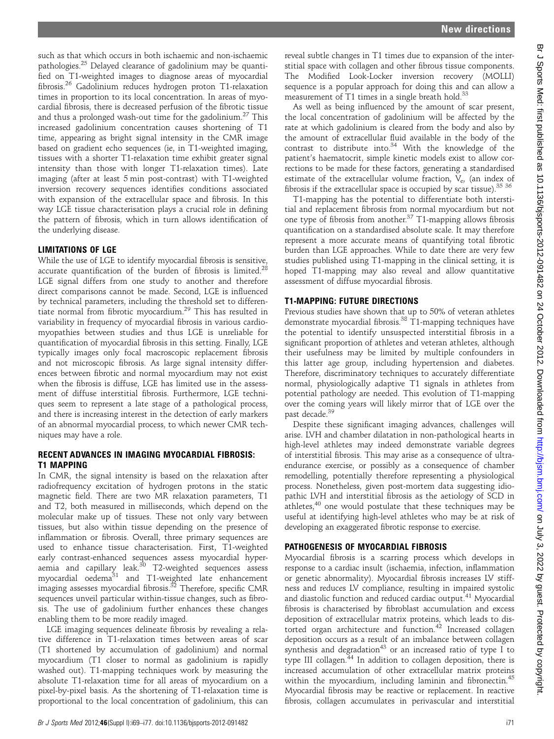such as that which occurs in both ischaemic and non-ischaemic pathologies.25 Delayed clearance of gadolinium may be quantified on T1-weighted images to diagnose areas of myocardial fibrosis.<sup>26</sup> Gadolinium reduces hydrogen proton T1-relaxation times in proportion to its local concentration. In areas of myocardial fibrosis, there is decreased perfusion of the fibrotic tissue and thus a prolonged wash-out time for the gadolinium.<sup>27</sup> This increased gadolinium concentration causes shortening of T1 time, appearing as bright signal intensity in the CMR image based on gradient echo sequences (ie, in T1-weighted imaging, tissues with a shorter T1-relaxation time exhibit greater signal intensity than those with longer T1-relaxation times). Late imaging (after at least 5 min post-contrast) with T1-weighted inversion recovery sequences identifies conditions associated with expansion of the extracellular space and fibrosis. In this way LGE tissue characterisation plays a crucial role in defining the pattern of fibrosis, which in turn allows identification of the underlying disease.

## LIMITATIONS OF LGE

While the use of LGE to identify myocardial fibrosis is sensitive, accurate quantification of the burden of fibrosis is limited.<sup>28</sup> LGE signal differs from one study to another and therefore direct comparisons cannot be made. Second, LGE is influenced by technical parameters, including the threshold set to differentiate normal from fibrotic myocardium.<sup>29</sup> This has resulted in variability in frequency of myocardial fibrosis in various cardiomyopathies between studies and thus LGE is unreliable for quantification of myocardial fibrosis in this setting. Finally, LGE typically images only focal macroscopic replacement fibrosis and not microscopic fibrosis. As large signal intensity differences between fibrotic and normal myocardium may not exist when the fibrosis is diffuse, LGE has limited use in the assessment of diffuse interstitial fibrosis. Furthermore, LGE techniques seem to represent a late stage of a pathological process, and there is increasing interest in the detection of early markers of an abnormal myocardial process, to which newer CMR techniques may have a role.

## RECENT ADVANCES IN IMAGING MYOCARDIAL FIBROSIS: T1 MAPPING

In CMR, the signal intensity is based on the relaxation after radiofrequency excitation of hydrogen protons in the static magnetic field. There are two MR relaxation parameters, T1 and T2, both measured in milliseconds, which depend on the molecular make up of tissues. These not only vary between tissues, but also within tissue depending on the presence of inflammation or fibrosis. Overall, three primary sequences are used to enhance tissue characterisation. First, T1-weighted early contrast-enhanced sequences assess myocardial hyperaemia and capillary leak.<sup>30</sup> T2-weighted sequences assess myocardial oedema<sup>31</sup> and T1-weighted late enhancement imaging assesses myocardial fibrosis.<sup>32</sup> Therefore, specific CMR sequences unveil particular within-tissue changes, such as fibrosis. The use of gadolinium further enhances these changes enabling them to be more readily imaged.

LGE imaging sequences delineate fibrosis by revealing a relative difference in T1-relaxation times between areas of scar (T1 shortened by accumulation of gadolinium) and normal myocardium (T1 closer to normal as gadolinium is rapidly washed out). T1-mapping techniques work by measuring the absolute T1-relaxation time for all areas of myocardium on a pixel-by-pixel basis. As the shortening of T1-relaxation time is proportional to the local concentration of gadolinium, this can

reveal subtle changes in T1 times due to expansion of the interstitial space with collagen and other fibrous tissue components. The Modified Look-Locker inversion recovery (MOLLI) sequence is a popular approach for doing this and can allow a measurement of T1 times in a single breath hold.<sup>33</sup>

As well as being influenced by the amount of scar present, the local concentration of gadolinium will be affected by the rate at which gadolinium is cleared from the body and also by the amount of extracellular fluid available in the body of the contrast to distribute into. $34$  With the knowledge of the patient's haematocrit, simple kinetic models exist to allow corrections to be made for these factors, generating a standardised estimate of the extracellular volume fraction,  $V_{e}$ , (an index of fibrosis if the extracellular space is occupied by scar tissue).  $^{35\ 36}$ 

T1-mapping has the potential to differentiate both interstitial and replacement fibrosis from normal myocardium but not one type of fibrosis from another.37 T1-mapping allows fibrosis quantification on a standardised absolute scale. It may therefore represent a more accurate means of quantifying total fibrotic burden than LGE approaches. While to date there are very few studies published using T1-mapping in the clinical setting, it is hoped T1-mapping may also reveal and allow quantitative assessment of diffuse myocardial fibrosis.

## T1-MAPPING: FUTURE DIRECTIONS

Previous studies have shown that up to 50% of veteran athletes demonstrate myocardial fibrosis.<sup>38</sup> T<sub>1</sub>-mapping techniques have the potential to identify unsuspected interstitial fibrosis in a significant proportion of athletes and veteran athletes, although their usefulness may be limited by multiple confounders in this latter age group, including hypertension and diabetes. Therefore, discriminatory techniques to accurately differentiate normal, physiologically adaptive T1 signals in athletes from potential pathology are needed. This evolution of T1-mapping over the coming years will likely mirror that of LGE over the past decade.<sup>39</sup>

Despite these significant imaging advances, challenges will arise. LVH and chamber dilatation in non-pathological hearts in high-level athletes may indeed demonstrate variable degrees of interstitial fibrosis. This may arise as a consequence of ultraendurance exercise, or possibly as a consequence of chamber remodelling, potentially therefore representing a physiological process. Nonetheless, given post-mortem data suggesting idiopathic LVH and interstitial fibrosis as the aetiology of SCD in athletes,<sup>40</sup> one would postulate that these techniques may be useful at identifying high-level athletes who may be at risk of developing an exaggerated fibrotic response to exercise.

# PATHOGENESIS OF MYOCARDIAL FIBROSIS

Myocardial fibrosis is a scarring process which develops in response to a cardiac insult (ischaemia, infection, inflammation or genetic abnormality). Myocardial fibrosis increases LV stiffness and reduces LV compliance, resulting in impaired systolic and diastolic function and reduced cardiac output.<sup>41</sup> Myocardial fibrosis is characterised by fibroblast accumulation and excess deposition of extracellular matrix proteins, which leads to distorted organ architecture and function.<sup>42</sup> Increased collagen deposition occurs as a result of an imbalance between collagen synthesis and degradation<sup>43</sup> or an increased ratio of type  $\breve{\rm I}$  to type III collagen.<sup>44</sup> In addition to collagen deposition, there is increased accumulation of other extracellular matrix proteins within the myocardium, including laminin and fibronectin.<sup>45</sup> Myocardial fibrosis may be reactive or replacement. In reactive fibrosis, collagen accumulates in perivascular and interstitial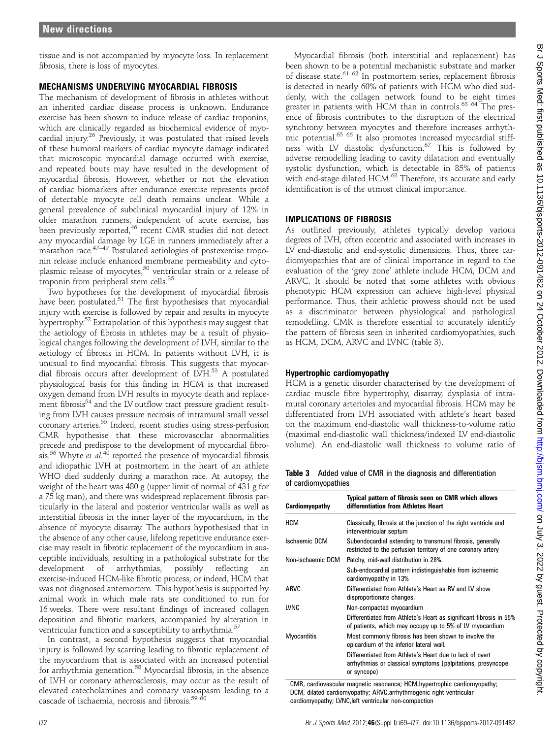tissue and is not accompanied by myocyte loss. In replacement fibrosis, there is loss of myocytes.

## MECHANISMS UNDERLYING MYOCARDIAL FIBROSIS

The mechanism of development of fibrosis in athletes without an inherited cardiac disease process is unknown. Endurance exercise has been shown to induce release of cardiac troponins, which are clinically regarded as biochemical evidence of myocardial injury.<sup>26</sup> Previously, it was postulated that raised levels of these humoral markers of cardiac myocyte damage indicated that microscopic myocardial damage occurred with exercise, and repeated bouts may have resulted in the development of myocardial fibrosis. However, whether or not the elevation of cardiac biomarkers after endurance exercise represents proof of detectable myocyte cell death remains unclear. While a general prevalence of subclinical myocardial injury of 12% in older marathon runners, independent of acute exercise, has been previously reported,<sup>46</sup> recent CMR studies did not detect any myocardial damage by LGE in runners immediately after a marathon race.47–<sup>49</sup> Postulated aetiologies of postexercise troponin release include enhanced membrane permeability and cytoplasmic release of myocytes,<sup>50</sup> ventricular strain or a release of troponin from peripheral stem cells.<sup>35</sup>

Two hypotheses for the development of myocardial fibrosis have been postulated.<sup>51</sup> The first hypothesises that myocardial injury with exercise is followed by repair and results in myocyte hypertrophy.<sup>52</sup> Extrapolation of this hypothesis may suggest that the aetiology of fibrosis in athletes may be a result of physiological changes following the development of LVH, similar to the aetiology of fibrosis in HCM. In patients without LVH, it is unusual to find myocardial fibrosis. This suggests that myocardial fibrosis occurs after development of LVH.<sup>53</sup> A postulated physiological basis for this finding in HCM is that increased oxygen demand from LVH results in myocyte death and replacement fibrosis<sup>54</sup> and the LV outflow tract pressure gradient resulting from LVH causes pressure necrosis of intramural small vessel coronary arteries.55 Indeed, recent studies using stress-perfusion CMR hypothesise that these microvascular abnormalities precede and predispose to the development of myocardial fibrosis.<sup>56</sup> Whyte et al.<sup>40</sup> reported the presence of myocardial fibrosis and idiopathic LVH at postmortem in the heart of an athlete WHO died suddenly during a marathon race. At autopsy, the weight of the heart was 480 g (upper limit of normal of 431 g for a 75 kg man), and there was widespread replacement fibrosis particularly in the lateral and posterior ventricular walls as well as interstitial fibrosis in the inner layer of the myocardium, in the absence of myocyte disarray. The authors hypothesised that in the absence of any other cause, lifelong repetitive endurance exercise may result in fibrotic replacement of the myocardium in susceptible individuals, resulting in a pathological substrate for the development of arrhythmias, possibly reflecting an exercise-induced HCM-like fibrotic process, or indeed, HCM that was not diagnosed antemortem. This hypothesis is supported by animal work in which male rats are conditioned to run for 16 weeks. There were resultant findings of increased collagen deposition and fibrotic markers, accompanied by alteration in ventricular function and a susceptibility to arrhythmia.<sup>57</sup>

In contrast, a second hypothesis suggests that myocardial injury is followed by scarring leading to fibrotic replacement of the myocardium that is associated with an increased potential for arrhythmia generation.<sup>58</sup> Myocardial fibrosis, in the absence of LVH or coronary atherosclerosis, may occur as the result of elevated catecholamines and coronary vasospasm leading to a cascade of ischaemia, necrosis and fibrosis. $59\frac{60}{2}$ 

Myocardial fibrosis (both interstitial and replacement) has been shown to be a potential mechanistic substrate and marker of disease state.<sup>61 62</sup> In postmortem series, replacement fibrosis is detected in nearly 60% of patients with HCM who died suddenly, with the collagen network found to be eight times greater in patients with HCM than in controls.<sup>63 64</sup> The presence of fibrosis contributes to the disruption of the electrical synchrony between myocytes and therefore increases arrhythmic potential.<sup>65 66</sup> It also promotes increased myocardial stiffness with LV diastolic dysfunction.<sup>67</sup> This is followed by adverse remodelling leading to cavity dilatation and eventually systolic dysfunction, which is detectable in 85% of patients with end-stage dilated HCM.<sup>68</sup> Therefore, its accurate and early identification is of the utmost clinical importance.

## IMPLICATIONS OF FIBROSIS

As outlined previously, athletes typically develop various degrees of LVH, often eccentric and associated with increases in LV end-diastolic and end-systolic dimensions. Thus, three cardiomyopathies that are of clinical importance in regard to the evaluation of the 'grey zone' athlete include HCM, DCM and ARVC. It should be noted that some athletes with obvious phenotypic HCM expression can achieve high-level physical performance. Thus, their athletic prowess should not be used as a discriminator between physiological and pathological remodelling. CMR is therefore essential to accurately identify the pattern of fibrosis seen in inherited cardiomyopathies, such as HCM, DCM, ARVC and LVNC (table 3).

## Hypertrophic cardiomyopathy

HCM is a genetic disorder characterised by the development of cardiac muscle fibre hypertrophy, disarray, dysplasia of intramural coronary arterioles and myocardial fibrosis. HCM may be differentiated from LVH associated with athlete's heart based on the maximum end-diastolic wall thickness-to-volume ratio (maximal end-diastolic wall thickness/indexed LV end-diastolic volume). An end-diastolic wall thickness to volume ratio of

Table 3 Added value of CMR in the diagnosis and differentiation of cardiomyopathies

| Cardiomyopathy       | Typical pattern of fibrosis seen on CMR which allows<br>differentiation from Athletes Heart                                            |
|----------------------|----------------------------------------------------------------------------------------------------------------------------------------|
| <b>HCM</b>           | Classically, fibrosis at the junction of the right ventricle and<br>interventricular septum                                            |
| <b>Ischaemic DCM</b> | Subendocardial extending to transmural fibrosis, generally<br>restricted to the perfusion territory of one coronary artery             |
| Non-ischaemic DCM    | Patchy, mid-wall distribution in 28%.                                                                                                  |
|                      | Sub-endocardial pattern indistinguishable from ischaemic<br>cardiomyopathy in 13%                                                      |
| <b>ARVC</b>          | Differentiated from Athlete's Heart as RV and LV show<br>disproportionate changes.                                                     |
| <b>LVNC</b>          | Non-compacted myocardium                                                                                                               |
|                      | Differentiated from Athlete's Heart as significant fibrosis in 55%<br>of patients, which may occupy up to 5% of LV myocardium          |
| <b>Myocarditis</b>   | Most commonly fibrosis has been shown to involve the<br>epicardium of the inferior lateral wall.                                       |
|                      | Differentiated from Athlete's Heart due to lack of overt<br>arrhythmias or classical symptoms (palpitations, presyncope<br>or syncope) |

CMR, cardiovascular magnetic resonance; HCM,hypertrophic cardiomyopathy; DCM, dilated cardiomyopathy; ARVC,arrhythmogenic right ventricular cardiomyopathy; LVNC,left ventricular non-compaction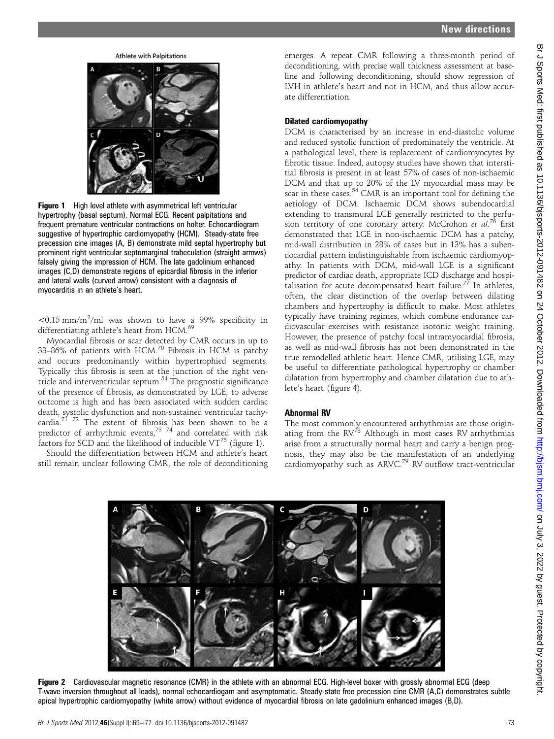



**Figure 1** High level athlete with asymmetrical left ventricular hypertrophy (basal septum). Normal ECG. Recent palpitations and frequent premature ventricular contractions on holter. Echocardiogram suggestive of hypertrophic cardiomyopathy (HCM). Steady-state free precession cine images (A, B) demonstrate mild septal hypertrophy but prominent right ventricular septomarginal trabeculation (straight arrows) falsely giving the impression of HCM. The late gadolinium enhanced images (C,D) demonstrate regions of epicardial fibrosis in the inferior and lateral walls (curved arrow) consistent with a diagnosis of myocarditis in an athlete's heart.

 $<$ 0.15 mm/m<sup>2</sup>/ml was shown to have a 99% specificity in differentiating athlete's heart from HCM.<sup>69</sup>

Myocardial fibrosis or scar detected by CMR occurs in up to 33–86% of patients with HCM.70 Fibrosis in HCM is patchy and occurs predominantly within hypertrophied segments. Typically this fibrosis is seen at the junction of the right ventricle and interventricular septum.<sup>54</sup> The prognostic significance of the presence of fibrosis, as demonstrated by LGE, to adverse outcome is high and has been associated with sudden cardiac death, systolic dysfunction and non-sustained ventricular tachycardia.<sup>71 72</sup> The extent of fibrosis has been shown to be a predictor of arrhythmic events, $7374$  and correlated with risk factors for SCD and the likelihood of inducible  $VT^{75}$  (figure 1).

Should the differentiation between HCM and athlete's heart still remain unclear following CMR, the role of deconditioning emerges. A repeat CMR following a three-month period of deconditioning, with precise wall thickness assessment at baseline and following deconditioning, should show regression of LVH in athlete's heart and not in HCM, and thus allow accurate differentiation.

## Dilated cardiomyopathy

DCM is characterised by an increase in end-diastolic volume and reduced systolic function of predominately the ventricle. At a pathological level, there is replacement of cardiomyocytes by fibrotic tissue. Indeed, autopsy studies have shown that interstitial fibrosis is present in at least 57% of cases of non-ischaemic DCM and that up to 20% of the LV myocardial mass may be scar in these cases.<sup>54</sup> CMR is an important tool for defining the aetiology of DCM. Ischaemic DCM shows subendocardial extending to transmural LGE generally restricted to the perfusion territory of one coronary artery. McCrohon et  $al^{76}$  first demonstrated that LGE in non-ischaemic DCM has a patchy, mid-wall distribution in 28% of cases but in 13% has a subendocardial pattern indistinguishable from ischaemic cardiomyopathy. In patients with DCM, mid-wall LGE is a significant predictor of cardiac death, appropriate ICD discharge and hospitalisation for acute decompensated heart failure.<sup>77</sup> In athletes, often, the clear distinction of the overlap between dilating chambers and hypertrophy is difficult to make. Most athletes typically have training regimes, which combine endurance cardiovascular exercises with resistance isotonic weight training. However, the presence of patchy focal intramyocardial fibrosis, as well as mid-wall fibrosis has not been demonstrated in the true remodelled athletic heart. Hence CMR, utilising LGE, may be useful to differentiate pathological hypertrophy or chamber dilatation from hypertrophy and chamber dilatation due to athlete's heart (figure 4).

## Abnormal RV

The most commonly encountered arrhythmias are those originating from the RV.<sup>78</sup> Although in most cases RV arrhythmias arise from a structurally normal heart and carry a benign prognosis, they may also be the manifestation of an underlying cardiomyopathy such as ARVC.<sup>79</sup> RV outflow tract-ventricular



Figure 2 Cardiovascular magnetic resonance (CMR) in the athlete with an abnormal ECG. High-level boxer with grossly abnormal ECG (deep T-wave inversion throughout all leads), normal echocardiogam and asymptomatic. Steady-state free precession cine CMR (A,C) demonstrates subtle apical hypertrophic cardiomyopathy (white arrow) without evidence of myocardial fibrosis on late gadolinium enhanced images (B,D).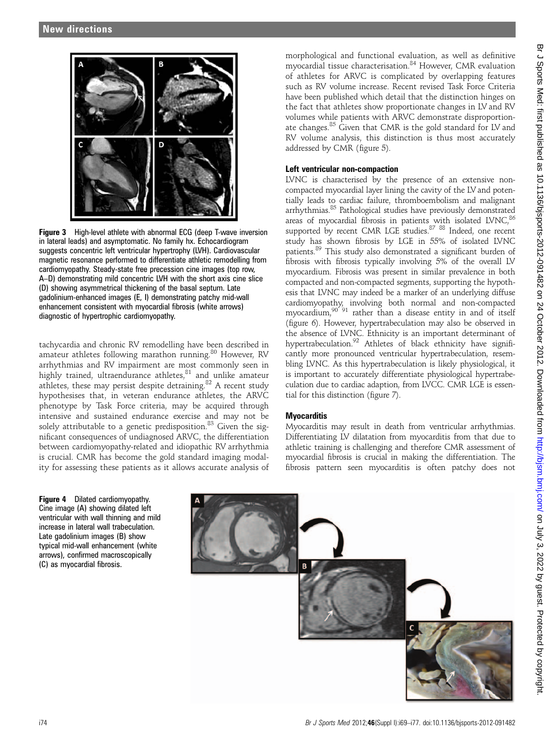

Figure 3 High-level athlete with abnormal ECG (deep T-wave inversion in lateral leads) and asymptomatic. No family hx. Echocardiogram suggests concentric left ventricular hypertrophy (LVH). Cardiovascular magnetic resonance performed to differentiate athletic remodelling from cardiomyopathy. Steady-state free precession cine images (top row, A–D) demonstrating mild concentric LVH with the short axis cine slice (D) showing asymmetrical thickening of the basal septum. Late gadolinium-enhanced images (E, I) demonstrating patchy mid-wall enhancement consistent with myocardial fibrosis (white arrows) diagnostic of hypertrophic cardiomyopathy.

tachycardia and chronic RV remodelling have been described in amateur athletes following marathon running.<sup>80</sup> However, RV arrhythmias and RV impairment are most commonly seen in highly trained, ultraendurance athletes, $81$  and unlike amateur athletes, these may persist despite detraining.<sup>82</sup> A recent study hypothesises that, in veteran endurance athletes, the ARVC phenotype by Task Force criteria, may be acquired through intensive and sustained endurance exercise and may not be solely attributable to a genetic predisposition.<sup>83</sup> Given the significant consequences of undiagnosed ARVC, the differentiation between cardiomyopathy-related and idiopathic RV arrhythmia is crucial. CMR has become the gold standard imaging modality for assessing these patients as it allows accurate analysis of

Figure 4 Dilated cardiomyopathy. Cine image (A) showing dilated left ventricular with wall thinning and mild increase in lateral wall trabeculation. Late gadolinium images (B) show typical mid-wall enhancement (white arrows), confirmed macroscopically (C) as myocardial fibrosis.

morphological and functional evaluation, as well as definitive myocardial tissue characterisation.<sup>84</sup> However, CMR evaluation of athletes for ARVC is complicated by overlapping features such as RV volume increase. Recent revised Task Force Criteria have been published which detail that the distinction hinges on the fact that athletes show proportionate changes in LV and RV volumes while patients with ARVC demonstrate disproportionate changes.<sup>85</sup> Given that CMR is the gold standard for LV and RV volume analysis, this distinction is thus most accurately addressed by CMR (figure 5). Left ventricular non-compaction LVNC is characterised by the presence of an extensive non-

compacted myocardial layer lining the cavity of the LV and potentially leads to cardiac failure, thromboembolism and malignant arrhythmias.85 Pathological studies have previously demonstrated areas of myocardial fibrosis in patients with isolated LVNC, 86 supported by recent CMR LGE studies.<sup>87 88</sup> Indeed, one recent study has shown fibrosis by LGE in 55% of isolated LVNC patients.89 This study also demonstrated a significant burden of fibrosis with fibrosis typically involving 5% of the overall LV myocardium. Fibrosis was present in similar prevalence in both compacted and non-compacted segments, supporting the hypothesis that LVNC may indeed be a marker of an underlying diffuse cardiomyopathy, involving both normal and non-compacted myocardium,<sup>90 91</sup> rather than a disease entity in and of itself (figure 6). However, hypertrabeculation may also be observed in the absence of LVNC. Ethnicity is an important determinant of hypertrabeculation.<sup>92</sup> Athletes of black ethnicity have significantly more pronounced ventricular hypertrabeculation, resembling LVNC. As this hypertrabeculation is likely physiological, it is important to accurately differentiate physiological hypertrabeculation due to cardiac adaption, from LVCC. CMR LGE is essential for this distinction (figure 7).

## **Myocarditis**

Myocarditis may result in death from ventricular arrhythmias. Differentiating LV dilatation from myocarditis from that due to athletic training is challenging and therefore CMR assessment of myocardial fibrosis is crucial in making the differentiation. The fibrosis pattern seen myocarditis is often patchy does not

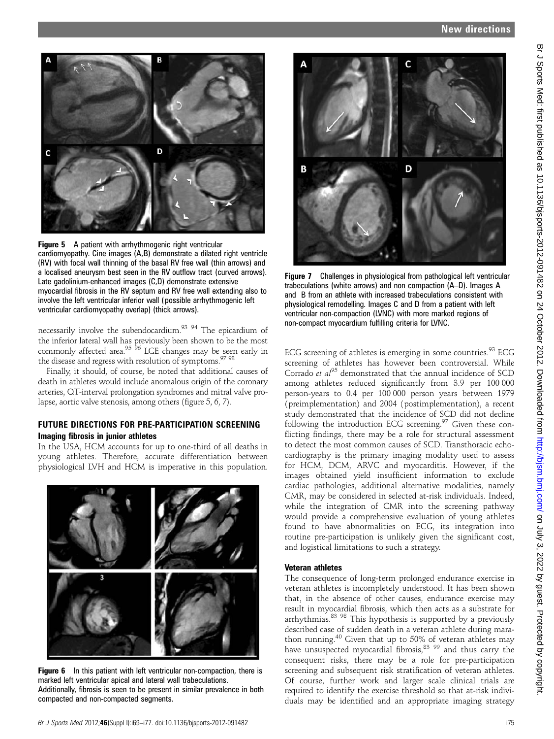

**Figure 5** A patient with arrhythmogenic right ventricular cardiomyopathy. Cine images (A,B) demonstrate a dilated right ventricle (RV) with focal wall thinning of the basal RV free wall (thin arrows) and a localised aneurysm best seen in the RV outflow tract (curved arrows). Late gadolinium-enhanced images (C,D) demonstrate extensive myocardial fibrosis in the RV septum and RV free wall extending also to involve the left ventricular inferior wall (possible arrhythmogenic left ventricular cardiomyopathy overlap) (thick arrows).

necessarily involve the subendocardium.<sup>93</sup> <sup>94</sup> The epicardium of the inferior lateral wall has previously been shown to be the most commonly affected area.<sup>95 96</sup> LGE changes may be seen early in the disease and regress with resolution of symptoms.<sup>97 98</sup>

Finally, it should, of course, be noted that additional causes of death in athletes would include anomalous origin of the coronary arteries, QT-interval prolongation syndromes and mitral valve prolapse, aortic valve stenosis, among others (figure 5, 6, 7).

## FUTURE DIRECTIONS FOR PRE-PARTICIPATION SCREENING Imaging fibrosis in junior athletes

In the USA, HCM accounts for up to one-third of all deaths in young athletes. Therefore, accurate differentiation between physiological LVH and HCM is imperative in this population.



**Figure 6** In this patient with left ventricular non-compaction, there is marked left ventricular apical and lateral wall trabeculations. Additionally, fibrosis is seen to be present in similar prevalence in both compacted and non-compacted segments.



Figure 7 Challenges in physiological from pathological left ventricular trabeculations (white arrows) and non compaction (A–D). Images A and B from an athlete with increased trabeculations consistent with physiological remodelling. Images C and D from a patient with left ventricular non-compaction (LVNC) with more marked regions of non-compact myocardium fulfilling criteria for LVNC.

ECG screening of athletes is emerging in some countries.<sup>93</sup> ECG screening of athletes has however been controversial. While Corrado et  $al^{95}$  demonstrated that the annual incidence of SCD among athletes reduced significantly from 3.9 per 100 000 person-years to 0.4 per 100 000 person years between 1979 (preimplementation) and 2004 (postimplementation), a recent study demonstrated that the incidence of SCD did not decline following the introduction ECG screening. $97$  Given these conflicting findings, there may be a role for structural assessment to detect the most common causes of SCD. Transthoracic echocardiography is the primary imaging modality used to assess for HCM, DCM, ARVC and myocarditis. However, if the images obtained yield insufficient information to exclude cardiac pathologies, additional alternative modalities, namely CMR, may be considered in selected at-risk individuals. Indeed, while the integration of CMR into the screening pathway would provide a comprehensive evaluation of young athletes found to have abnormalities on ECG, its integration into routine pre-participation is unlikely given the significant cost, and logistical limitations to such a strategy.

# Veteran athletes

The consequence of long-term prolonged endurance exercise in veteran athletes is incompletely understood. It has been shown that, in the absence of other causes, endurance exercise may result in myocardial fibrosis, which then acts as a substrate for arrhythmias. $83\frac{98}{1}$  This hypothesis is supported by a previously described case of sudden death in a veteran athlete during marathon running.40 Given that up to 50% of veteran athletes may have unsuspected myocardial fibrosis,<sup>83</sup> <sup>99</sup> and thus carry the consequent risks, there may be a role for pre-participation screening and subsequent risk stratification of veteran athletes. Of course, further work and larger scale clinical trials are required to identify the exercise threshold so that at-risk individuals may be identified and an appropriate imaging strategy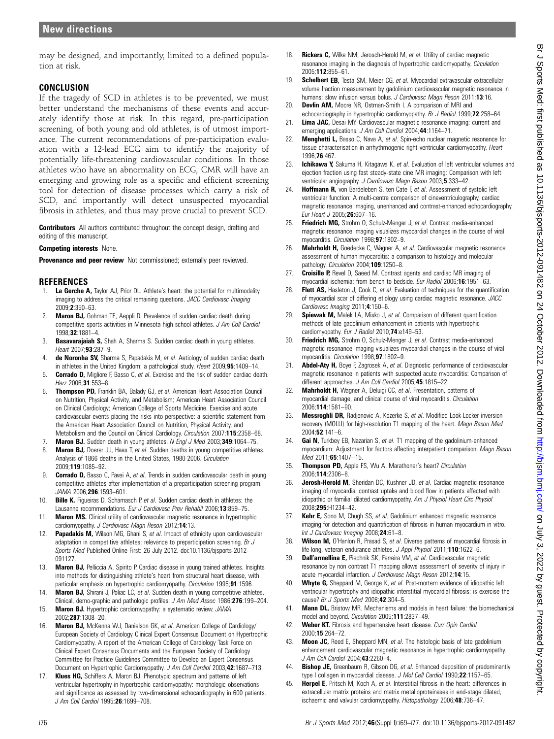may be designed, and importantly, limited to a defined population at risk.

### **CONCLUSION**

If the tragedy of SCD in athletes is to be prevented, we must better understand the mechanisms of these events and accurately identify those at risk. In this regard, pre-participation screening, of both young and old athletes, is of utmost importance. The current recommendations of pre-participation evaluation with a 12-lead ECG aim to identify the majority of potentially life-threatening cardiovascular conditions. In those athletes who have an abnormality on ECG, CMR will have an emerging and growing role as a specific and efficient screening tool for detection of disease processes which carry a risk of SCD, and importantly will detect unsuspected myocardial fibrosis in athletes, and thus may prove crucial to prevent SCD.

**Contributors** All authors contributed throughout the concept design, drafting and editing of this manuscript.

#### Competing interests None.

Provenance and peer review Not commissioned; externally peer reviewed.

#### **REFERENCES**

- 1. La Gerche A, Taylor AJ, Prior DL. Athlete's heart: the potential for multimodality imaging to address the critical remaining questions. JACC Cardiovasc Imaging 2009;2:350–63.
- 2. **Maron BJ,** Gohman TE, Aeppli D. Prevalence of sudden cardiac death during competitive sports activities in Minnesota high school athletes. J Am Coll Cardiol 1998;32:1881–4.
- 3. Basavarajaiah S, Shah A, Sharma S. Sudden cardiac death in young athletes. Heart 2007;93:287–9.
- 4. de Noronha SV, Sharma S, Papadakis M, et al. Aetiology of sudden cardiac death in athletes in the United Kingdom: a pathological study. Heart 2009;95:1409-14.
- 5. **Corrado D,** Migliore F, Basso C, et al. Exercise and the risk of sudden cardiac death. Herz 2006:31:553-8.
- 6. Thompson PD, Franklin BA, Balady GJ, et al. American Heart Association Council on Nutrition, Physical Activity, and Metabolism; American Heart Association Council on Clinical Cardiology; American College of Sports Medicine. Exercise and acute cardiovascular events placing the risks into perspective: a scientific statement from the American Heart Association Council on Nutrition, Physical Activity, and Metabolism and the Council on Clinical Cardiology. Circulation 2007;115:2358–68.
- 7. **Maron BJ.** Sudden death in young athletes. N  $Engl$  J Med 2003; **349**:1064-75.
- 8. Maron BJ, Doerer JJ, Haas T, et al. Sudden deaths in young competitive athletes. Analysis of 1866 deaths in the United States, 1980-2006. Circulation 2009;119:1085–92.
- 9. **Corrado D,** Basso C, Pavei A, et al. Trends in sudden cardiovascular death in young competitive athletes after implementation of a preparticipation screening program. JAMA 2006;296:1593–601.
- 10. Bille K, Figueiras D, Schamasch P, et al. Sudden cardiac death in athletes: the Lausanne recommendations. Eur J Cardiovasc Prev Rehabil 2006;13:859-75.
- 11. **Maron MS.** Clinical utility of cardiovascular magnetic resonance in hypertrophic cardiomyopathy. J Cardiovasc Magn Reson 2012;14:13.
- 12. Papadakis M, Wilson MG, Ghani S, et al. Impact of ethnicity upon cardiovascular adaptation in competitive athletes: relevance to preparticipation screening. Br J Sports Med Published Online First: 26 July 2012. doi:10.1136/bjsports-2012- 091127.
- 13. **Maron BJ, Pelliccia A, Spirito P. Cardiac disease in young trained athletes. Insights** into methods for distinguishing athlete's heart from structural heart disease, with particular emphasis on hypertrophic cardiomyopathy. Circulation 1995;91:1596.
- 14. Maron BJ, Shirani J, Poliac LC, et al. Sudden death in young competitive athletes. Clinical, demo-graphic and pathologic profiles. J Am Med Assoc 1986;276:199–204.
- 15. **Maron BJ.** Hypertrophic cardiomyopathy: a systematic review. JAMA 2002;287:1308–20.
- 16. Maron BJ, McKenna WJ, Danielson GK, et al. American College of Cardiology/ European Society of Cardiology Clinical Expert Consensus Document on Hypertrophic Cardiomyopathy. A report of the American College of Cardiology Task Force on Clinical Expert Consensus Documents and the European Society of Cardiology Committee for Practice Guidelines Committee to Develop an Expert Consensus Document on Hypertrophic Cardiomyopathy. J Am Coll Cardiol 2003;42:1687-713.
- 17. **Klues HG,** Schiffers A, Maron BJ. Phenotypic spectrum and patterns of left ventricular hypertrophy in hypertrophic cardiomyopathy: morphologic observations and significance as assessed by two-dimensional echocardiography in 600 patients. J Am Coll Cardiol 1995;26:1699–708.
- 18. Rickers C, Wilke NM, Jerosch-Herold M, et al. Utility of cardiac magnetic resonance imaging in the diagnosis of hypertrophic cardiomyopathy. Circulation 2005;112:855–61.
- 19. Schelbert EB, Testa SM, Meier CG, et al. Myocardial extravascular extracellular volume fraction measurement by gadolinium cardiovascular magnetic resonance in humans: slow infusion versus bolus. J Cardiovasc Magn Reson 2011:13:16.
- 20. Devlin AM, Moore NR, Ostman-Smith I. A comparison of MRI and echocardiography in hypertrophic cardiomyopathy. Br J Radiol 1999;72:258-64.
- 21. Lima JAC, Desai MY. Cardiovascular magnetic resonance imaging: current and emerging applications. J Am Coll Cardiol 2004;44:1164-71.
- 22. Menghetti L, Basso C, Nava A, et al. Spin-echo nuclear magnetic resonance for tissue characterisation in arrhythmogenic right ventricular cardiomyopathy. Heart 1996;76:467.
- 23. **Ichikawa Y,** Sakuma H, Kitagawa K, et al. Evaluation of left ventricular volumes and ejection fraction using fast steady-state cine MR imaging: Comparison with left ventricular angiography. J Cardiovasc Magn Reson 2003;5:333-42.
- Hoffmann R, von Bardeleben S, ten Cate F, et al. Assessment of systolic left ventricular function: A multi-centre comparison of cineventriculography, cardiac magnetic resonance imaging, unenhanced and contrast-enhanced echocardiography. Eur Heart J 2005;26:607–16.
- 25. Friedrich MG, Strohm O, Schulz-Menger J, et al. Contrast media-enhanced magnetic resonance imaging visualizes myocardial changes in the course of viral myocarditis. Circulation 1998;97:1802-9.
- 26. Mahrholdt H, Goedecke C, Wagner A, et al. Cardiovascular magnetic resonance assessment of human myocarditis: a comparison to histology and molecular pathology. Circulation 2004;109:1250-8.
- 27. Croisille P, Revel D, Saeed M. Contrast agents and cardiac MR imaging of myocardial ischemia: from bench to bedside. Eur Radiol 2006;16:1951–63.
- 28. Flett AS, Hasleton J, Cook C, et al. Evaluation of techniques for the quantification of myocardial scar of differing etiology using cardiac magnetic resonance. JACC Cardiovasc Imaging 2011;4:150-6.
- 29. Spiewak M, Malek LA, Misko J, et al. Comparison of different quantification methods of late gadolinium enhancement in patients with hypertrophic cardiomyopathy. Eur J Radiol 2010;74:e149-53.
- 30. Friedrich MG, Strohm O, Schulz-Menger J, et al. Contrast media-enhanced magnetic resonance imaging visualizes myocardial changes in the course of viral myocarditis. Circulation 1998;97:1802-9.
- 31. Abdel-Aty H, Boye P, Zagrosek A, et al. Diagnostic performance of cardiovascular magnetic resonance in patients with suspected acute myocarditis: Comparison of different approaches. J Am Coll Cardiol 2005;45:1815-22.
- 32. Mahrholdt H, Wagner A, Deluigi CC, et al. Presentation, patterns of myocardial damage, and clinical course of viral myocarditis. Circulation 2006;114:1581–90.
- 33. Messroghli DR, Radjenovic A, Kozerke S, et al. Modified Look-Locker inversion recovery (MOLLI) for high-resolution T1 mapping of the heart. Magn Reson Med 2004;52:141–6.
- 34. Gai N, Turkbey EB, Nazarian S, et al. T1 mapping of the gadolinium-enhanced myocardium: Adjustment for factors affecting interpatient comparison. Magn Reson Med 2011;65:1407-15.
- 35. Thompson PD, Apple FS, Wu A. Marathoner's heart? Circulation 2006;114:2306–8.
- 36. Jerosh-Herold M, Sheridan DC, Kushner JD, et al. Cardiac magnetic resonance imaging of myocardial contrast uptake and blood flow in patients affected with idiopathic or familial dilated cardiomyopathy. Am J Physiol Heart Circ Physiol 2008;295:H1234–42.
- 37. Kehr E, Sono M, Chugh SS, et al. Gadolinium enhanced magnetic resonance imaging for detection and quantification of fibrosis in human myocardium in vitro. Int J Cardiovasc Imaging 2008:24:61-8.
- 38. Wilson M, O'Hanlon R, Prasad S, et al. Diverse patterns of myocardial fibrosis in life-long, veteran endurance athletes. J Appl Physiol 2011;110:1622-6.
- 39. **Dall'armellina E,** Piechnik SK, Ferreira VM, et al. Cardiovascular magnetic resonance by non contrast T1 mapping allows assessment of severity of injury in acute myocardial infarction. J Cardiovasc Magn Reson 2012;14:15.
- 40. Whyte G, Sheppard M, George K, et al. Post-mortem evidence of idiopathic left ventricular hypertrophy and idiopathic interstitial myocardial fibrosis: is exercise the cause? Br J Sports Med 2008;42:304–5.
- Mann DL, Bristow MR. Mechanisms and models in heart failure: the biomechanical model and beyond. Circulation 2005;111:2837–49.
- 42. Weber KT. Fibrosis and hypertensive heart disease. Curr Opin Cardiol 2000;15:264–72.
- 43. Moon JC, Reed E, Sheppard MN, et al. The histologic basis of late gadolinium enhancement cardiovascular magnetic resonance in hypertrophic cardiomyopathy. J Am Coll Cardiol 2004;43:2260–4.
- **Bishop JE,** Greenbaum R, Gibson DG, et al. Enhanced deposition of predominantly type I collagen in myocardial disease. J Mol Cell Cardiol 1990;22:1157-65.
- 45. **Herpel E,** Pritsch M, Koch A, et al. Interstitial fibrosis in the heart: differences in extracellular matrix proteins and matrix metalloproteinases in end-stage dilated, ischaemic and valvular cardiomyopathy. Histopathology 2006;48:736–47.